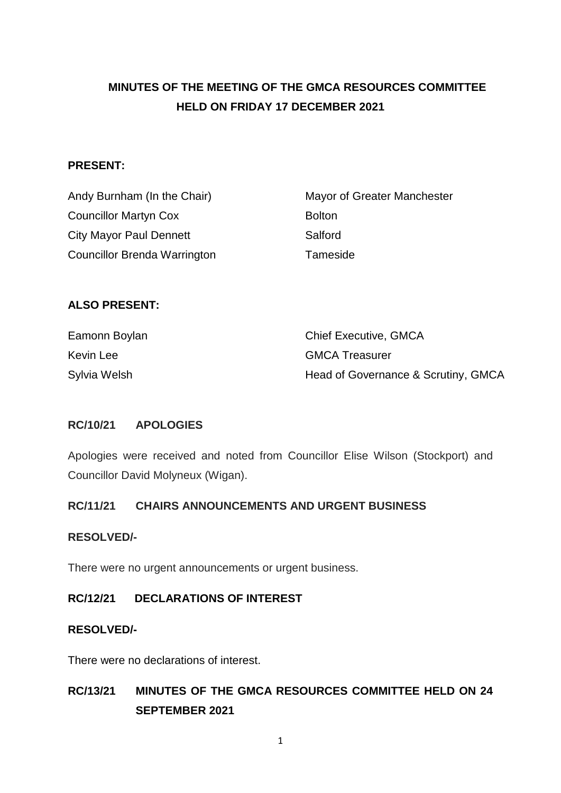# **MINUTES OF THE MEETING OF THE GMCA RESOURCES COMMITTEE HELD ON FRIDAY 17 DECEMBER 2021**

#### **PRESENT:**

| Andy Burnham (In the Chair)         | Mayor of Greater Manchester |
|-------------------------------------|-----------------------------|
| <b>Councillor Martyn Cox</b>        | <b>Bolton</b>               |
| City Mayor Paul Dennett             | Salford                     |
| <b>Councillor Brenda Warrington</b> | Tameside                    |

#### **ALSO PRESENT:**

| Eamonn Boylan | <b>Chief Executive, GMCA</b>        |
|---------------|-------------------------------------|
| Kevin Lee     | <b>GMCA Treasurer</b>               |
| Sylvia Welsh  | Head of Governance & Scrutiny, GMCA |

#### **RC/10/21 APOLOGIES**

Apologies were received and noted from Councillor Elise Wilson (Stockport) and Councillor David Molyneux (Wigan).

#### **RC/11/21 CHAIRS ANNOUNCEMENTS AND URGENT BUSINESS**

#### **RESOLVED/-**

There were no urgent announcements or urgent business.

#### **RC/12/21 DECLARATIONS OF INTEREST**

#### **RESOLVED/-**

There were no declarations of interest.

## **RC/13/21 MINUTES OF THE GMCA RESOURCES COMMITTEE HELD ON 24 SEPTEMBER 2021**